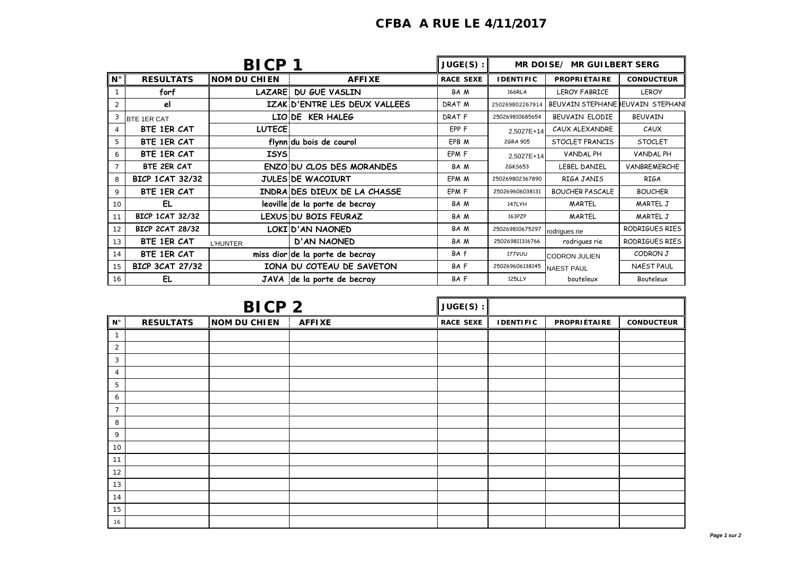| <b>CFBA A RUE LE 4/11/2017</b> |  |  |
|--------------------------------|--|--|
|                                |  |  |

| <b>BICP</b>     |                        |                     | $JUGE(S)$ :                      | MR DOISE/ MR GUILBERT SERG |                                         |                                   |                   |
|-----------------|------------------------|---------------------|----------------------------------|----------------------------|-----------------------------------------|-----------------------------------|-------------------|
| $N^{\circ}$     | <b>RESULTATS</b>       | <b>NOM DU CHIEN</b> | <b>AFFIXE</b>                    | <b>RACE SEXE</b>           | <b>PROPRIÉTAIRE</b><br><b>IDENTIFIC</b> |                                   | <b>CONDUCTEUR</b> |
|                 | forf                   | <b>LAZARE</b>       | <b>DU GUE VASLIN</b>             | BA M                       | <b>166RLA</b>                           | <b>LEROY FABRICE</b>              | <b>LEROY</b>      |
| 2               | el                     |                     | IZAK D'ENTRE LES DEUX VALLEES    | DRAT M                     | 250269802267914                         | BEUVAIN STEPHANE BEUVAIN STEPHANE |                   |
| 3               | <b>BTE 1ER CAT</b>     |                     | LIO DE KER HALEG                 | DRAT F                     | 250269810685654                         | BEUVAIN ELODIE                    | <b>BEUVAIN</b>    |
| 4               | BTE 1ER CAT            | <b>LUTECE</b>       |                                  | EPP F                      | 2,5027E+14                              | CAUX ALEXANDRE                    | CAUX              |
| 5               | BTE 1ER CAT            |                     | flynn du bois de courol          | EPB M                      | 26RA 905                                | STOCLET FRANCIS                   | <b>STOCLET</b>    |
| 6               | BTE 1ER CAT            | <b>ISYS</b>         |                                  | EPM F                      | 2.5027E+14                              | VANDAL PH                         | VANDAL PH         |
| $\overline{7}$  | BTE 2ER CAT            |                     | <b>ENZO DU CLOS DES MORANDES</b> | BA M                       | 26KS653                                 | LEBEL DANIEL                      | VANBREMERCHE      |
| 8               | <b>BICP 1CAT 32/32</b> |                     | <b>JULES DE WACOIURT</b>         | EPM M                      | 250269802367890                         | RIGA JANIS                        | <b>RIGA</b>       |
| 9               | BTE 1ER CAT            |                     | INDRA DES DIEUX DE LA CHASSE     | EPM F                      | 250269606038131                         | <b>BOUCHER PASCALE</b>            | <b>BOUCHER</b>    |
| 10 <sup>1</sup> | EL                     |                     | leoville de la porte de becray   | BA M                       | 147LYH                                  | MARTEL                            | MARTEL J          |
| 11              | <b>BICP 1CAT 32/32</b> |                     | LEXUS DU BOIS FEURAZ             | BA M                       | <b>MARTEL</b><br>163PZP                 |                                   | MARTEL J          |
| 12              | <b>BICP 2CAT 28/32</b> |                     | LOKI D'AN NAONED                 | BA M                       | 250269810675297                         | rodrigues rie                     | RODRIGUES RIES    |
| 13              | BTE 1ER CAT            | <b>L'HUNTER</b>     | <b>D'AN NAONED</b>               | BA M                       | 250269811316766                         | rodrigues rie                     | RODRIGUES RIES    |
| 14              | BTE 1ER CAT            |                     | miss dior de la porte de becray  | BA f                       | <b>177VUU</b>                           | <b>CODRON JULIEN</b>              | CODRON J          |
| 15              | <b>BICP 3CAT 27/32</b> |                     | IONA DU COTEAU DE SAVETON        | BAF                        | 250269606138145<br><b>NAEST PAUL</b>    |                                   | <b>NAEST PAUL</b> |
| 16              | EL                     |                     | JAVA de la porte de becray       | BA F                       | 125LLY                                  | bouteleux                         | Bouteleux         |

| <b>BICP 2</b>  |                  | $JUGE(S)$ :         |               |                  |                  |              |                   |
|----------------|------------------|---------------------|---------------|------------------|------------------|--------------|-------------------|
| $N^{\circ}$    | <b>RESULTATS</b> | <b>NOM DU CHIEN</b> | <b>AFFIXE</b> | <b>RACE SEXE</b> | <b>IDENTIFIC</b> | PROPRIÉTAIRE | <b>CONDUCTEUR</b> |
| $\mathbf{1}$   |                  |                     |               |                  |                  |              |                   |
| 2              |                  |                     |               |                  |                  |              |                   |
| 3              |                  |                     |               |                  |                  |              |                   |
| 4              |                  |                     |               |                  |                  |              |                   |
| 5              |                  |                     |               |                  |                  |              |                   |
| 6              |                  |                     |               |                  |                  |              |                   |
| $\overline{7}$ |                  |                     |               |                  |                  |              |                   |
| 8              |                  |                     |               |                  |                  |              |                   |
| 9              |                  |                     |               |                  |                  |              |                   |
| 10             |                  |                     |               |                  |                  |              |                   |
| 11             |                  |                     |               |                  |                  |              |                   |
| 12             |                  |                     |               |                  |                  |              |                   |
| 13             |                  |                     |               |                  |                  |              |                   |
| 14             |                  |                     |               |                  |                  |              |                   |
| 15             |                  |                     |               |                  |                  |              |                   |
| 16             |                  |                     |               |                  |                  |              |                   |